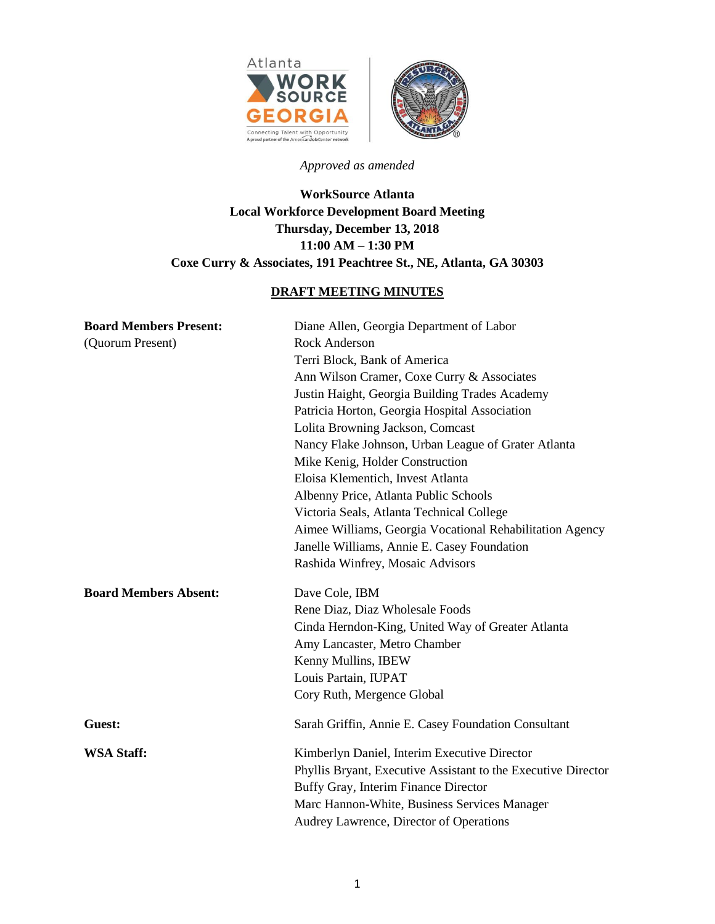

# *Approved as amended*

# **WorkSource Atlanta Local Workforce Development Board Meeting Thursday, December 13, 2018 11:00 AM – 1:30 PM Coxe Curry & Associates, 191 Peachtree St., NE, Atlanta, GA 30303**

# **DRAFT MEETING MINUTES**

| <b>Board Members Present:</b><br>(Quorum Present) | Diane Allen, Georgia Department of Labor<br><b>Rock Anderson</b><br>Terri Block, Bank of America |
|---------------------------------------------------|--------------------------------------------------------------------------------------------------|
|                                                   | Ann Wilson Cramer, Coxe Curry & Associates                                                       |
|                                                   |                                                                                                  |
|                                                   | Justin Haight, Georgia Building Trades Academy                                                   |
|                                                   | Patricia Horton, Georgia Hospital Association                                                    |
|                                                   | Lolita Browning Jackson, Comcast                                                                 |
|                                                   | Nancy Flake Johnson, Urban League of Grater Atlanta                                              |
|                                                   | Mike Kenig, Holder Construction                                                                  |
|                                                   | Eloisa Klementich, Invest Atlanta                                                                |
|                                                   | Albenny Price, Atlanta Public Schools                                                            |
|                                                   | Victoria Seals, Atlanta Technical College                                                        |
|                                                   | Aimee Williams, Georgia Vocational Rehabilitation Agency                                         |
|                                                   | Janelle Williams, Annie E. Casey Foundation                                                      |
|                                                   | Rashida Winfrey, Mosaic Advisors                                                                 |
| <b>Board Members Absent:</b>                      | Dave Cole, IBM                                                                                   |
|                                                   | Rene Diaz, Diaz Wholesale Foods                                                                  |
|                                                   | Cinda Herndon-King, United Way of Greater Atlanta                                                |
|                                                   | Amy Lancaster, Metro Chamber                                                                     |
|                                                   | Kenny Mullins, IBEW                                                                              |
|                                                   | Louis Partain, IUPAT                                                                             |
|                                                   | Cory Ruth, Mergence Global                                                                       |
| Guest:                                            | Sarah Griffin, Annie E. Casey Foundation Consultant                                              |
| <b>WSA Staff:</b>                                 | Kimberlyn Daniel, Interim Executive Director                                                     |
|                                                   | Phyllis Bryant, Executive Assistant to the Executive Director                                    |
|                                                   | Buffy Gray, Interim Finance Director                                                             |
|                                                   | Marc Hannon-White, Business Services Manager                                                     |
|                                                   | Audrey Lawrence, Director of Operations                                                          |